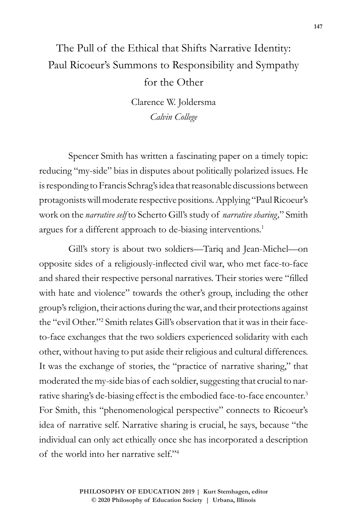## The Pull of the Ethical that Shifts Narrative Identity: Paul Ricoeur's Summons to Responsibility and Sympathy for the Other

Clarence W. Joldersma *Calvin College*

Spencer Smith has written a fascinating paper on a timely topic: reducing "my-side" bias in disputes about politically polarized issues. He is responding to Francis Schrag's idea that reasonable discussions between protagonists will moderate respective positions. Applying "Paul Ricoeur's work on the *narrative self* to Scherto Gill's study of *narrative sharing,*" Smith argues for a different approach to de-biasing interventions.<sup>1</sup>

Gill's story is about two soldiers—Tariq and Jean-Michel—on opposite sides of a religiously-inflected civil war, who met face-to-face and shared their respective personal narratives. Their stories were "filled with hate and violence" towards the other's group, including the other group's religion, their actions during the war, and their protections against the "evil Other."2 Smith relates Gill's observation that it was in their faceto-face exchanges that the two soldiers experienced solidarity with each other, without having to put aside their religious and cultural differences. It was the exchange of stories, the "practice of narrative sharing," that moderated the my-side bias of each soldier, suggesting that crucial to narrative sharing's de-biasing effect is the embodied face-to-face encounter.3 For Smith, this "phenomenological perspective" connects to Ricoeur's idea of narrative self. Narrative sharing is crucial, he says, because "the individual can only act ethically once she has incorporated a description of the world into her narrative self."4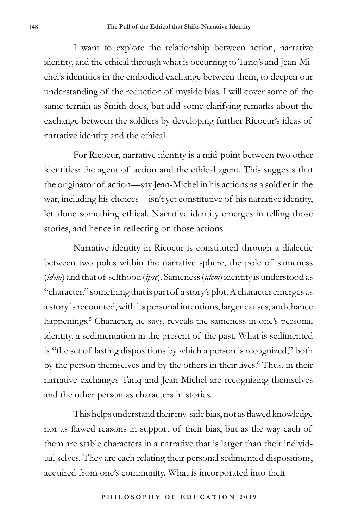I want to explore the relationship between action, narrative identity, and the ethical through what is occurring to Tariq's and Jean-Michel's identities in the embodied exchange between them, to deepen our understanding of the reduction of myside bias. I will cover some of the same terrain as Smith does, but add some clarifying remarks about the exchange between the soldiers by developing further Ricoeur's ideas of narrative identity and the ethical.

For Ricoeur, narrative identity is a mid-point between two other identities: the agent of action and the ethical agent. This suggests that the originator of action—say Jean-Michel in his actions as a soldier in the war, including his choices—isn't yet constitutive of his narrative identity, let alone something ethical. Narrative identity emerges in telling those stories, and hence in reflecting on those actions.

Narrative identity in Ricoeur is constituted through a dialectic between two poles within the narrative sphere, the pole of sameness (*idem*) and that of selfhood (*ipse*). Sameness (*idem*) identity is understood as "character," something that is part of a story's plot. A character emerges as a story is recounted, with its personal intentions, larger causes, and chance happenings.<sup>5</sup> Character, he says, reveals the sameness in one's personal identity, a sedimentation in the present of the past. What is sedimented is "the set of lasting dispositions by which a person is recognized," both by the person themselves and by the others in their lives.<sup>6</sup> Thus, in their narrative exchanges Tariq and Jean-Michel are recognizing themselves and the other person as characters in stories.

This helps understand their my-side bias, not as flawed knowledge nor as flawed reasons in support of their bias, but as the way each of them are stable characters in a narrative that is larger than their individual selves. They are each relating their personal sedimented dispositions, acquired from one's community. What is incorporated into their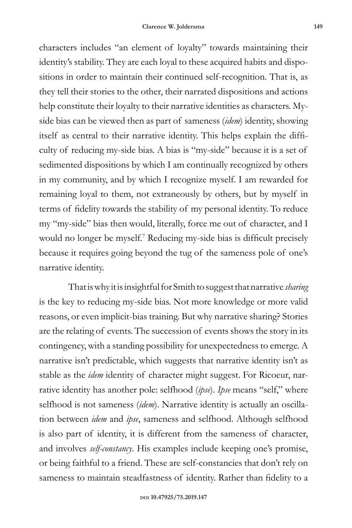characters includes "an element of loyalty" towards maintaining their identity's stability. They are each loyal to these acquired habits and dispositions in order to maintain their continued self-recognition. That is, as they tell their stories to the other, their narrated dispositions and actions help constitute their loyalty to their narrative identities as characters. Myside bias can be viewed then as part of sameness (*idem*) identity, showing itself as central to their narrative identity. This helps explain the difficulty of reducing my-side bias. A bias is "my-side" because it is a set of sedimented dispositions by which I am continually recognized by others in my community, and by which I recognize myself. I am rewarded for remaining loyal to them, not extraneously by others, but by myself in terms of fidelity towards the stability of my personal identity. To reduce my "my-side" bias then would, literally, force me out of character, and I would no longer be myself.7 Reducing my-side bias is difficult precisely because it requires going beyond the tug of the sameness pole of one's narrative identity.

That is why it is insightful for Smith to suggest that narrative *sharing* is the key to reducing my-side bias. Not more knowledge or more valid reasons, or even implicit-bias training. But why narrative sharing? Stories are the relating of events. The succession of events shows the story in its contingency, with a standing possibility for unexpectedness to emerge. A narrative isn't predictable, which suggests that narrative identity isn't as stable as the *idem* identity of character might suggest. For Ricoeur, narrative identity has another pole: selfhood (*ipse*). *Ipse* means "self," where selfhood is not sameness (*idem*). Narrative identity is actually an oscillation between *idem* and *ipse*, sameness and selfhood. Although selfhood is also part of identity, it is different from the sameness of character, and involves *self-constancy*. His examples include keeping one's promise, or being faithful to a friend. These are self-constancies that don't rely on sameness to maintain steadfastness of identity. Rather than fidelity to a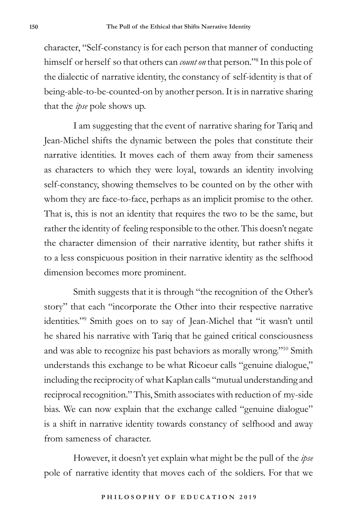character, "Self-constancy is for each person that manner of conducting himself or herself so that others can *count on* that person."8 In this pole of the dialectic of narrative identity, the constancy of self-identity is that of being-able-to-be-counted-on by another person. It is in narrative sharing that the *ipse* pole shows up.

I am suggesting that the event of narrative sharing for Tariq and Jean-Michel shifts the dynamic between the poles that constitute their narrative identities. It moves each of them away from their sameness as characters to which they were loyal, towards an identity involving self-constancy, showing themselves to be counted on by the other with whom they are face-to-face, perhaps as an implicit promise to the other. That is, this is not an identity that requires the two to be the same, but rather the identity of feeling responsible to the other. This doesn't negate the character dimension of their narrative identity, but rather shifts it to a less conspicuous position in their narrative identity as the selfhood dimension becomes more prominent.

Smith suggests that it is through "the recognition of the Other's story" that each "incorporate the Other into their respective narrative identities."9 Smith goes on to say of Jean-Michel that "it wasn't until he shared his narrative with Tariq that he gained critical consciousness and was able to recognize his past behaviors as morally wrong."10 Smith understands this exchange to be what Ricoeur calls "genuine dialogue," including the reciprocity of what Kaplan calls "mutual understanding and reciprocal recognition." This, Smith associates with reduction of my-side bias. We can now explain that the exchange called "genuine dialogue" is a shift in narrative identity towards constancy of selfhood and away from sameness of character.

However, it doesn't yet explain what might be the pull of the *ipse* pole of narrative identity that moves each of the soldiers. For that we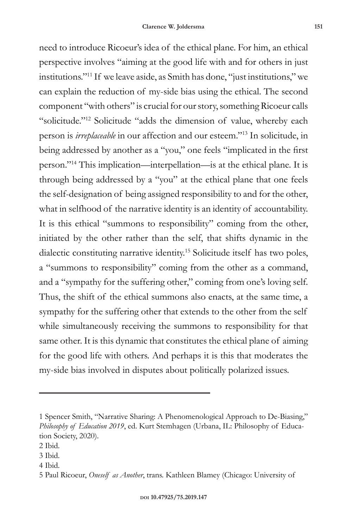need to introduce Ricoeur's idea of the ethical plane. For him, an ethical perspective involves "aiming at the good life with and for others in just institutions."11 If we leave aside, as Smith has done, "just institutions," we can explain the reduction of my-side bias using the ethical. The second component "with others" is crucial for our story, something Ricoeur calls "solicitude."12 Solicitude "adds the dimension of value, whereby each person is *irreplaceable* in our affection and our esteem."13 In solicitude, in being addressed by another as a "you," one feels "implicated in the first person."14 This implication—interpellation—is at the ethical plane. It is through being addressed by a "you" at the ethical plane that one feels the self-designation of being assigned responsibility to and for the other, what in selfhood of the narrative identity is an identity of accountability. It is this ethical "summons to responsibility" coming from the other, initiated by the other rather than the self, that shifts dynamic in the dialectic constituting narrative identity.15 Solicitude itself has two poles, a "summons to responsibility" coming from the other as a command, and a "sympathy for the suffering other," coming from one's loving self. Thus, the shift of the ethical summons also enacts, at the same time, a sympathy for the suffering other that extends to the other from the self while simultaneously receiving the summons to responsibility for that same other. It is this dynamic that constitutes the ethical plane of aiming for the good life with others. And perhaps it is this that moderates the my-side bias involved in disputes about politically polarized issues.

4 Ibid.

<sup>1</sup> Spencer Smith, "Narrative Sharing: A Phenomenological Approach to De-Biasing," *Philosophy of Education 2019*, ed. Kurt Stemhagen (Urbana, IL: Philosophy of Education Society, 2020).

<sup>2</sup> Ibid.

<sup>3</sup> Ibid.

<sup>5</sup> Paul Ricoeur, *Oneself as Another*, trans. Kathleen Blamey (Chicago: University of